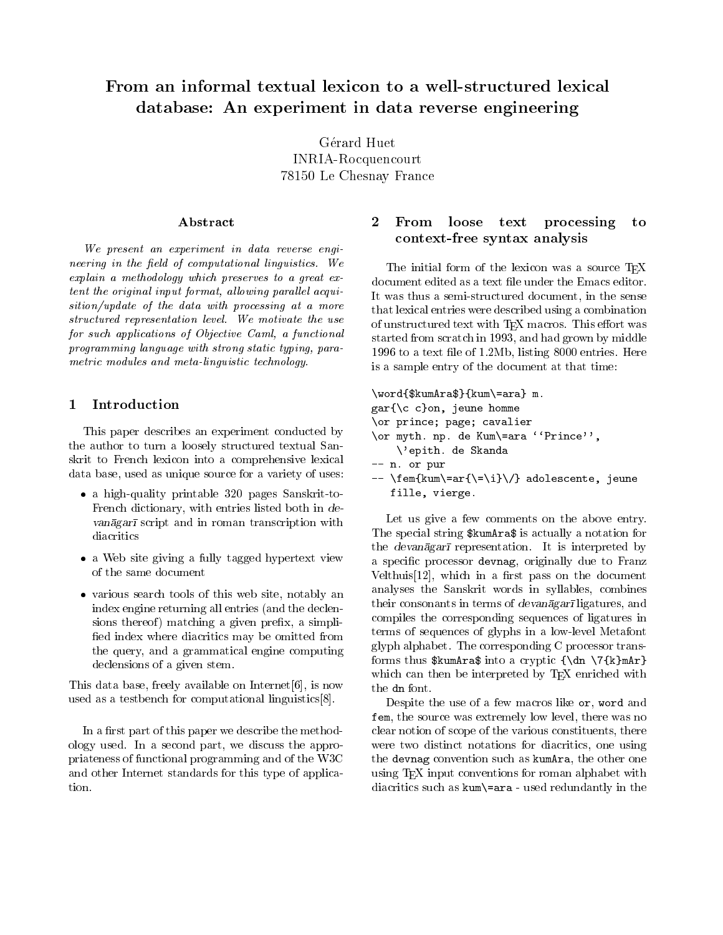# database: An experiment in data reverse engineering

Gérard Huet INRIA-Rocquencourt 78150 Le Chesnay France

## Abstract

We present an experiment in data reverse engineering in the eld of computational linguistics. We explain <sup>a</sup> methodology which preserves to <sup>a</sup> great extent the original input format, allowing parallel acquisition is a more of the data with processing at a more of the more structured representation technically interested the use  $\Delta t$ for such applications of Objective Caml, <sup>a</sup> functional programming language with strong static typing, parametric modules and meta-linguistic technology.

#### 1Introduction

This paper describes an experiment conducted by the author to turn a loosely structured textual Sanskrit to French lexicon into a comprehensive lexical data base, used as unique source for a variety of uses:

- a high-quality printable 320 pages Sanskrit-to-French dictionary, with entries listed both in de vanagar script and in roman transcription within diacritics
- a Web site giving a function tagged hypertext views a site of of the same document
- various search to the site, notably this web site, notably and site,  $\alpha$ index engine returning all entries (and the declensions thereof) matching a given prefix, a simplified index where diacritics may be omitted from the query, and a grammatical engine computing declensions of a given stem.

This data base, freely available on Internet[6], is now used as a testbench for computational linguistics[8].

In a first part of this paper we describe the methodology used. In a second part, we discuss the appropriateness of functional programming and of the W3C and other Internet standards for this type of application.

### 2 From loose text processing to context-free syntaxies which is a

The initial form of the lexicon was a source TFX document edited as a text file under the Emacs editor. It was thus a semi-structured document, in the sense that lexical entries were described using a combination of unstructured text with TEX macros. This effort was started from scratch in 1993, and had grown by middle 1996 to a text le of 1.2Mb, listing 8000 entries. Here is a sample entry of the document at that time:

```
\word{$kumAra$}{kum\=ara} m.
gar{\c c}on, jeune homme
\or prince; page; cavalier
\or myth. np. de Kum\=ara ''Prince'',
    \'epith. de Skanda
-- n. or pur
-- \tem{\kum\=ar{\\\=\i} \}/\} adolescente, jeune
```
fille, vierge.

Let us give a few comments on the above entry. The special string \$kumAra\$ is actually a notation for the *devanagari* representation. It is interpreted by a specific processor devnag, originally due to Franz Velthuis  $[12]$ , which in a first pass on the document analyses the Sanskrit words in syllables, combines their consonants in terms of  $devan\bar{a}gar\bar{a}$  ligatures, and compiles the corresponding sequences of ligatures in terms of sequences of glyphs in a low-level Metafont glyph alphabet. The corresponding C processor transforms thus  $\sum_{a \text{ of } \dagger} \{\dagger a \}$ which can then be interpreted by TEX enriched with the dn font.

Despite the use of a few macros like or, word and fem, the source was extremely low level, there was no clear notion of scope of the various constituents, there were two distinct notations for diacritics, one using the devnag convention such as kumAra, the other one using TEX input conventions for roman alphabet with diacritics such as kum\=ara - used redundantly in the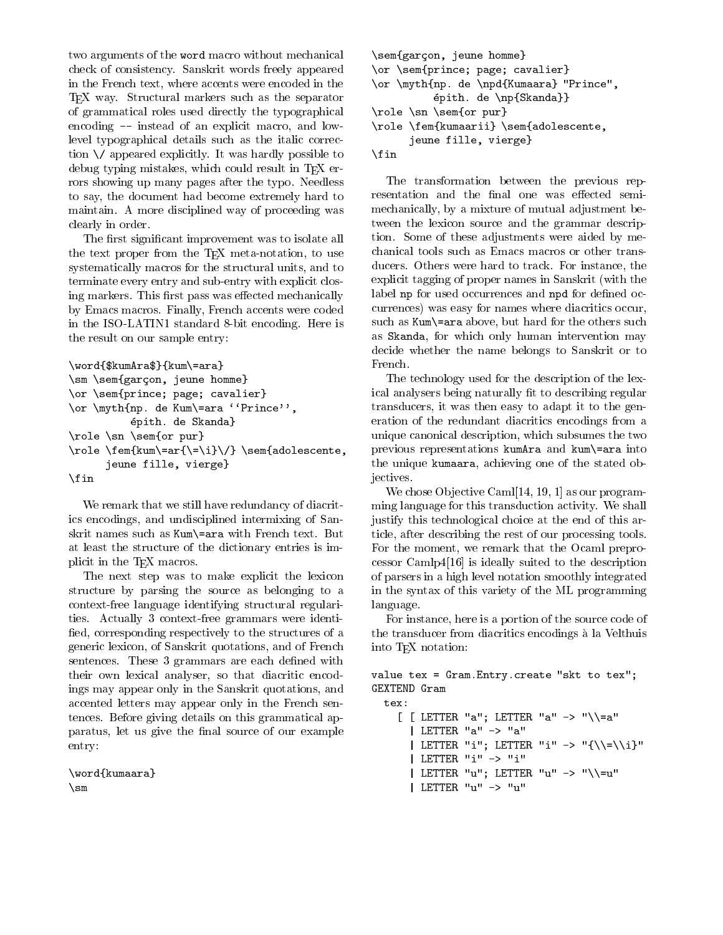two arguments of the word macro without mechanical check of consistency. Sanskrit words freely appeared in the French text, where accents were encoded in the T<sub>E</sub>X way. Structural markers such as the separator of grammatical roles used directly the typographical encoding -- instead of an explicit macro, and lowlevel typographical details such as the italic correction \/ appeared explicitly. It was hardly possible to debug typing mistakes, which could result in TFX errors showing up many pages after the typo. Needless to say, the document had become extremely hard to maintain. A more disciplined way of proceeding was clearly in order.

The first significant improvement was to isolate all the text proper from the TEX meta-notation, to use systematically macros for the structural units, and to terminate every entry and sub-entry with explicit closing markers. This first pass was effected mechanically by Emacs macros. Finally, French accents were coded in the ISO-LATIN1 standard 8-bit encoding. Here is the result on our sample entry:

```
\word{$kumAra$}{kum\=ara}
```

```
\sm \sem{garcon, jeune homme}
\or \sem{prince; page; cavalier}
\or \myth{np. de Kum\=ara ``Prince'',
          epith. de Skanda}
\role \sn \sem{or pur}
\role \fem{kum\=ar{\=\i}\/} \sem{adolescente,
      jeune fille, vierge}
\fin
```
We remark that we still have redundancy of diacritics encodings, and undisciplined intermixing of Sanskrit names such as Kum\=ara with French text. But at least the structure of the dictionary entries is implicit in the T<sub>E</sub>X macros.

The next step was to make explicit the lexicon structure by parsing the source as belonging to a context-free language identifying structural regularities. Actually 3 context-free grammars were identi fied, corresponding respectively to the structures of a generic lexicon, of Sanskrit quotations, and of French sentences. These 3 grammars are each defined with their own lexical analyser, so that diacritic encodings may appear only in the Sanskrit quotations, and accented letters may appear only in the French sentences. Before giving details on this grammatical apparatus, let us give the final source of our example entry:

\word{kumaara} \sm

```
\sem{garcon, jeune homme}
\or \sem{prince; page; cavalier}
\or \myth{np. de \npd{Kumaara} "Prince",
          epith. de \np{Skanda}}
\role \sn \sem{or pur}
\role \fem{kumaarii} \sem{adolescente,
      jeune fille, vierge}
\fin
```
The transformation between the previous representation and the final one was effected semimechanically, by a mixture of mutual adjustment between the lexicon source and the grammar description. Some of these adjustments were aided by mechanical tools such as Emacs macros or other transducers. Others were hard to track. For instance, the explicit tagging of proper names in Sanskrit (with the label np for used occurrences and npd for defined occurrences) was easy for names where diacritics occur, such as Kum\=ara above, but hard for the others such as Skanda, for which only human intervention may decide whether the name belongs to Sanskrit or to French.

The technology used for the description of the lexical analysers being naturally fit to describing regular transducers, it was then easy to adapt it to the generation of the redundant diacritics encodings from a unique canonical description, which subsumes the two previous representations kumAra and kum\=ara into the unique kumaara, achieving one of the stated objectives.

We chose Objective Caml[14, 19, 1] as our programming language for this transduction activity. We shall justify this technological choice at the end of this article, after describing the rest of our processing tools. For the moment, we remark that the Ocaml preprocessor Camlp4[16] is ideally suited to the description of parsers in a high level notation smoothly integrated in the syntax of this variety of the ML programming language.

For instance, here is a portion of the source code of the transducer from diacritics encodings a la Velthuis into T<sub>F</sub>X notation:

```
value tex = Gram.Entry.create "skt to tex";
GEXTEND Gram
```

```
[ [ LETTER "a"; LETTER "a" -> "\\=a"
 | LETTER "a" -> "a"
 | LETTER "i"; LETTER "i" -> "{\\=\\i}"
 | LETTER "i" -> "i"
 | LETTER "u"; LETTER "u" -> "\\=u"
 | LETTER "u" -> "u"
```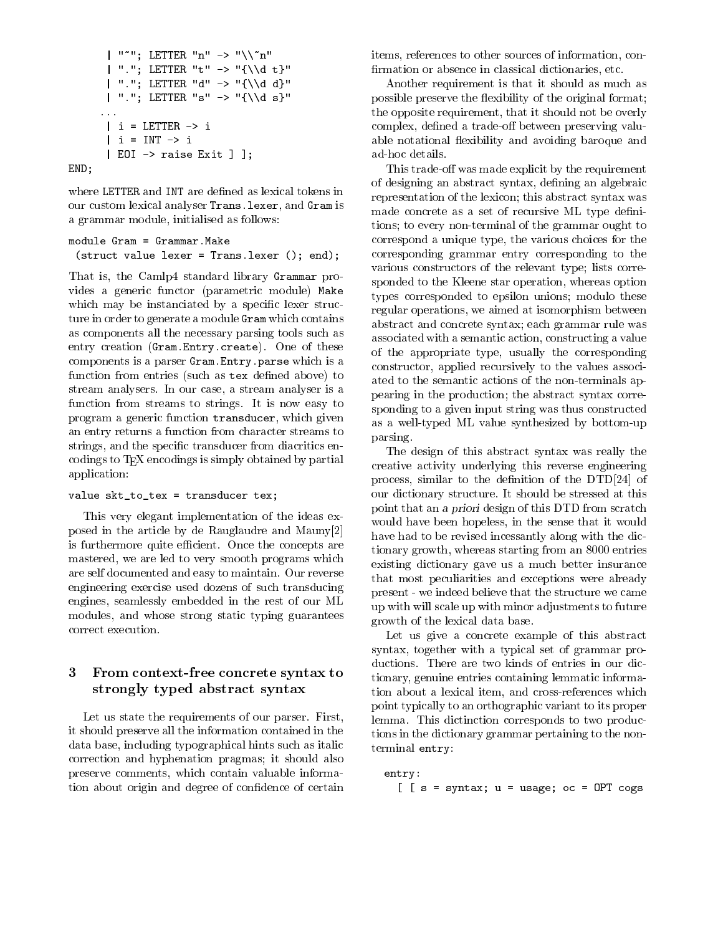```
| """; LETTER "n" -> "\binom{n}{n}| "."; LETTER "t" -> "{\\d t}"
       | "."; LETTER "d" -> "{\\d d}"
       | "."; LETTER "s" -> "{\\d s}"
      | i = LETTER \rightarrow i| i = INT \rightarrow i| EOI -> raise Exit ] ];
END;
```
where LETTER and INT are defined as lexical tokens in our custom lexical analyser Trans.lexer, and Gram is a grammar module, initialised as follows:

```
module Gram = Grammar. Make
 (struct value lexer = Trans.lexer (); end);
```
That is, the Camlp4 standard library Grammar provides a generic functor (parametric module) Make which may be instanciated by a specific lexer structure in order to generate a module Gram which contains as components all the necessary parsing tools such as entry creation (Gram.Entry.create). One of these components is a parser Gram.Entry.parse which is a function from entries (such as tex defined above) to stream analysers. In our case, a stream analyser is a function from streams to strings. It is now easy to program a generic function transducer, which given an entry returns a function from character streams to strings, and the specific transducer from diacritics encodings to TEX encodings is simply obtained by partial application:

## value skt\_to\_tex = transducer tex;

This very elegant implementation of the ideas exposed in the article by de Rauglaudre and Mauny[2] is furthermore quite efficient. Once the concepts are mastered, we are led to very smooth programs which are self documented and easy to maintain. Our reverse engineering exercise used dozens of such transducing engines, seamlessly embedded in the rest of our ML modules, and whose strong static typing guarantees correct execution.

## 3 From context-free concrete syntax to stronger typed abstract syntaxy syntaxy syntaxy syntaxy syntaxy syntaxy syntaxy syntaxy syntaxy syntaxy syntaxy

Let us state the requirements of our parser. First, it should preserve all the information contained in the data base, including typographical hints such as italic correction and hyphenation pragmas; it should also preserve comments, which contain valuable information about origin and degree of confidence of certain items, references to other sources of information, con firmation or absence in classical dictionaries, etc.

Another requirement is that it should as much as possible preserve the flexibility of the original format; the opposite requirement, that it should not be overly complex, defined a trade-off between preserving valuable notational flexibility and avoiding baroque and ad-hoc details.

This trade-off was made explicit by the requirement of designing an abstract syntax, defining an algebraic representation of the lexicon; this abstract syntax was made concrete as a set of recursive ML type definitions; to every non-terminal of the grammar ought to correspond a unique type, the various choices for the corresponding grammar entry corresponding to the various constructors of the relevant type; lists corresponded to the Kleene star operation, whereas option types corresponded to epsilon unions; modulo these regular operations, we aimed at isomorphism between abstract and concrete syntax; each grammar rule was associated with a semantic action, constructing a value of the appropriate type, usually the corresponding constructor, applied recursively to the values associated to the semantic actions of the non-terminals appearing in the production; the abstract syntax corresponding to a given input string was thus constructed as a well-typed ML value synthesized by bottom-up parsing.

The design of this abstract syntax was really the creative activity underlying this reverse engineering process, similar to the definition of the DTD[24] of our dictionary structure. It should be stressed at this point that an <sup>a</sup> priori design of this DTD from scratch would have been hopeless, in the sense that it would have had to be revised incessantly along with the dictionary growth, whereas starting from an 8000 entries existing dictionary gave us a much better insurance that most peculiarities and exceptions were already present-we indeed believe that the structure we came up with will scale up with minor adjustments to future growth of the lexical data base.

Let us give a concrete example of this abstract syntax, together with a typical set of grammar productions. There are two kinds of entries in our dictionary, genuine entries containing lemmatic information about a lexical item, and cross-references which point typically to an orthographic variant to its proper lemma. This dictinction corresponds to two productions in the dictionary grammar pertaining to the nonterminal entry:

```
entry:
  [ [s = syntax; u = usage; oc = OPT cogs
```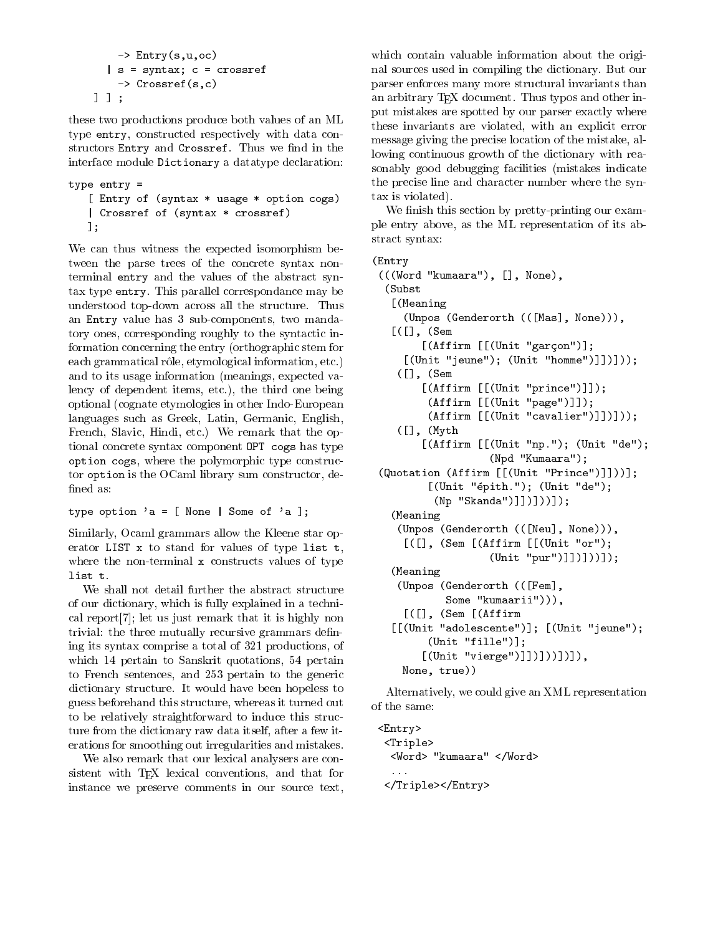```
\rightarrow Entry(s,u,oc)
  | s = syntax; c = crossref
    -> Crossref(s,c)
] ] ;
```
these two productions produce both values of an ML type entry, constructed respectively with data constructors Entry and Crossref. Thus we find in the interface module Dictionary a datatype declaration:

```
type entry =
   [ Entry of (syntax * usage * option cogs)
  | Crossref of (syntax * crossref)
   ];
```
We can thus witness the expected isomorphism between the parse trees of the concrete syntax nonterminal entry and the values of the abstract syntax type entry. This parallel correspondance may be understood top-down across all the structure. Thus an Entry value has 3 sub-components, two mandatory ones, corresponding roughly to the syntactic information concerning the entry (orthographic stem for each grammatical rôle, etymological information, etc.) and to its usage information (meanings, expected valency of dependent items, etc.), the third one being optional (cognate etymologies in other Indo-European languages such as Greek, Latin, Germanic, English, French, Slavic, Hindi, etc.) We remark that the optional concrete syntax component OPT cogs has type option cogs, where the polymorphic type constructor option is the OCaml library sum constructor, de fined as:

type option 'a =  $[$  None  $|$  Some of 'a  $]$ ;

Similarly, Ocaml grammars allow the Kleene star operator LIST x to stand for values of type list t, where the non-terminal x constructs values of type list t.

We shall not detail further the abstract structure of our dictionary, which is fully explained in a technical report[7]; let us just remark that it is highly non trivial: the three mutually recursive grammars dening its syntax comprise a total of 321 productions, of which 14 pertain to Sanskrit quotations, 54 pertain to French sentences, and 253 pertain to the generic dictionary structure. It would have been hopeless to guess beforehand this structure, whereas it turned out to be relatively straightforward to induce this structure from the dictionary raw data itself, after a few iterations for smoothing out irregularities and mistakes.

We also remark that our lexical analysers are consistent with TEX lexical conventions, and that for instance we preserve comments in our source text,

which contain valuable information about the original sources used in compiling the dictionary. But our parser enforces many more structural invariants than an arbitrary T<sub>E</sub>X document. Thus typos and other input mistakes are spotted by our parser exactly where these invariants are violated, with an explicit error message giving the precise location of the mistake, allowing continuous growth of the dictionary with reasonably good debugging facilities (mistakes indicate the precise line and character number where the syntax is violated).

We finish this section by pretty-printing our example entry above, as the ML representation of its abstract syntax:

# (Entry

```
(((Word "kumaara"), [], None),
 (Subst
  [(Meaning
    (Unpos (Genderorth (([Mas], None))),
  [([] , (Sem[(Affirm [[(Unit "garcon")];
    [(Unit "jeune"); (Unit "home"])]);
   (1,  (Sem
       [(Affirm [[(Unit "prince")]]);
        (Affirm [[(Unit "page")]]);
        (Affirm [[(Unit "cavalier")]])]));
   ([], (Myth
       [(Affirm [[(Unit "np."); (Unit "de");
                  (Npd "Kumaara");
(Quotation (Affirm [[(Unit "Prince")]]))];
        [(Unit "epith."); (Unit "de");
         (Np "Skanda")]])]))]);
  (Meaning
   (Unpos (Genderorth (([Neu], None))),
    [([], (Sem [(Affirm [[(Unit "or");
                  (Unit "pur")]])]))]);
  (Meaning
   (Unpos (Genderorth (([Fem],
           Some "kumaarii"))),
    [([], (Sem [(Affirm
  [[(Unit "adolescente")]; [(Unit "jeune");
        (Unit "fille")];
       [(Unit "vierge")]])]))])]),
   None, true))
```
Alternatively, we could give an XML representation of the same:

```
<Entry>
<Triple>
 <Word> "kumaara" </Word>
</Triple></Entry>
```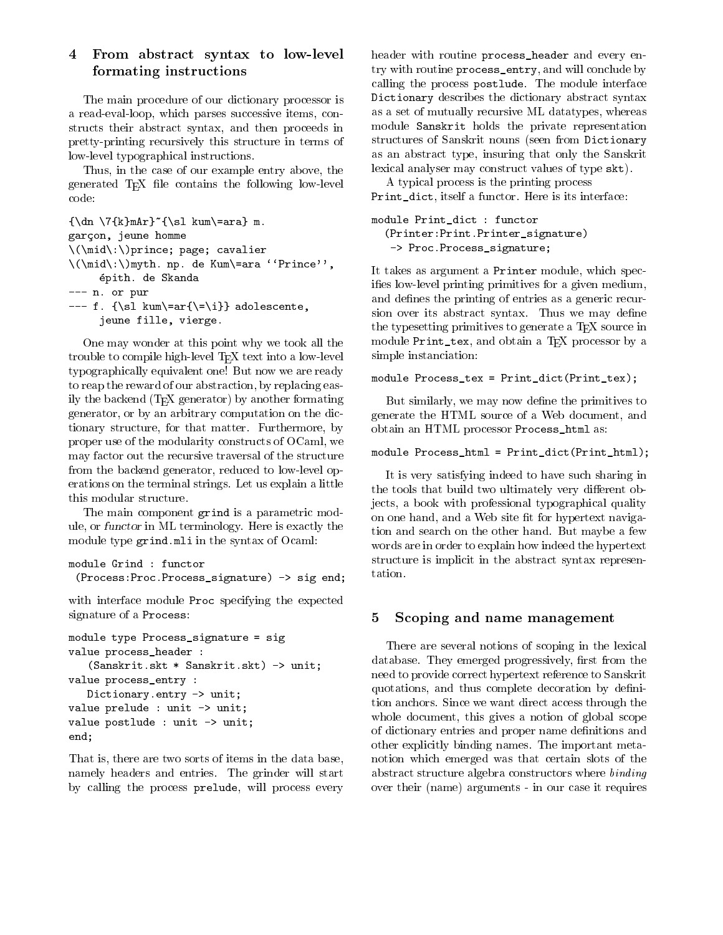## 4 From abstract syntax to low-level formating instructions

The main procedure of our dictionary processor is a read-eval-loop, which parses successive items, constructs their abstract syntax, and then proceeds in pretty-printing recursively this structure in terms of low-level typographical instructions.

Thus, in the case of our example entry above, the generated T<sub>E</sub>X file contains the following low-level code:

```
{\dn \17{k}mAr}^{\s1 \kum\=ara} m.garcon, jeune homme
\(\mid\:\)prince; page; cavalier
\(\mathcal{X}: \mathcal{X}\) and \mathcal{Y}: \mathcal{Y} \to \mathcal{Y} are \mathcal{Y}: \mathcal{Y} \to \mathcal{Y}epith. de Skanda
--- n. or pur
--- f. \{\s1 \ \text{km}\} adolescente,
       jeune fille, vierge.
```
One may wonder at this point why we took all the trouble to compile high-level T<sub>E</sub>X text into a low-level typographically equivalent one! But now we are ready to reap the reward of our abstraction, by replacing easily the backend  $(T_F X)$  generator) by another formating generator, or by an arbitrary computation on the dictionary structure, for that matter. Furthermore, by proper use of the modularity constructs of OCaml, we may factor out the recursive traversal of the structure from the backend generator, reduced to low-level operations on the terminal strings. Let us explain a little this modular structure.

The main component grind is a parametric module, or functor in ML terminology. Here is exactly the module type grind.mli in the syntax of Ocaml:

```
module Grind : functor
 (Process:Proc.Process_signature) -> sig end;
```
with interface module Proc specifying the expected signature of a Process:

```
module type Process_signature = sig
value process_header :
   (Sanskrit.skt * Sanskrit.skt) -> unit;
value process_entry :
   Dictionary.entry -> unit;
value prelude : unit -> unit;
value postlude : unit -> unit;
end;
```
That is, there are two sorts of items in the data base, namely headers and entries. The grinder will start by calling the process prelude, will process every header with routine process\_header and every entry with routine process\_entry, and will conclude by calling the process postlude. The module interface Dictionary describes the dictionary abstract syntax as a set of mutually recursive ML datatypes, whereas module Sanskrit holds the private representation structures of Sanskrit nouns (seen from Dictionary as an abstract type, insuring that only the Sanskrit lexical analyser may construct values of type skt).

A typical process is the printing process Print\_dict, itself a functor. Here is its interface:

module Print\_dict : functor (Printer:Print.Printer\_signature) -> Proc.Process\_signature;

It takes as argument a Printer module, which specifies low-level printing primitives for a given medium, and defines the printing of entries as a generic recursion over its abstract syntax. Thus we may define the typesetting primitives to generate a T<sub>E</sub>X source in module Print\_tex, and obtain a T<sub>E</sub>X processor by a simple instanciation:

module Process\_tex = Print\_dict(Print\_tex);

But similarly, we may now define the primitives to generate the HTML source of a Web document, and obtain an HTML processor Process\_html as:

```
module Process_html = Print_dict(Print_html);
```
It is very satisfying indeed to have such sharing in the tools that build two ultimately very different objects, a book with professional typographical quality on one hand, and a Web site fit for hypertext navigation and search on the other hand. But maybe a few words are in order to explain how indeed the hypertext structure is implicit in the abstract syntax representation.

#### 5Scoping and name management

There are several notions of scoping in the lexical database. They emerged progressively, first from the need to provide correct hypertext reference to Sanskrit quotations, and thus complete decoration by definition anchors. Since we want direct access through the whole document, this gives a notion of global scope of dictionary entries and proper name definitions and other explicitly binding names. The important metanotion which emerged was that certain slots of the abstract structure algebra constructors where binding over their (name) arguments - in our case it requires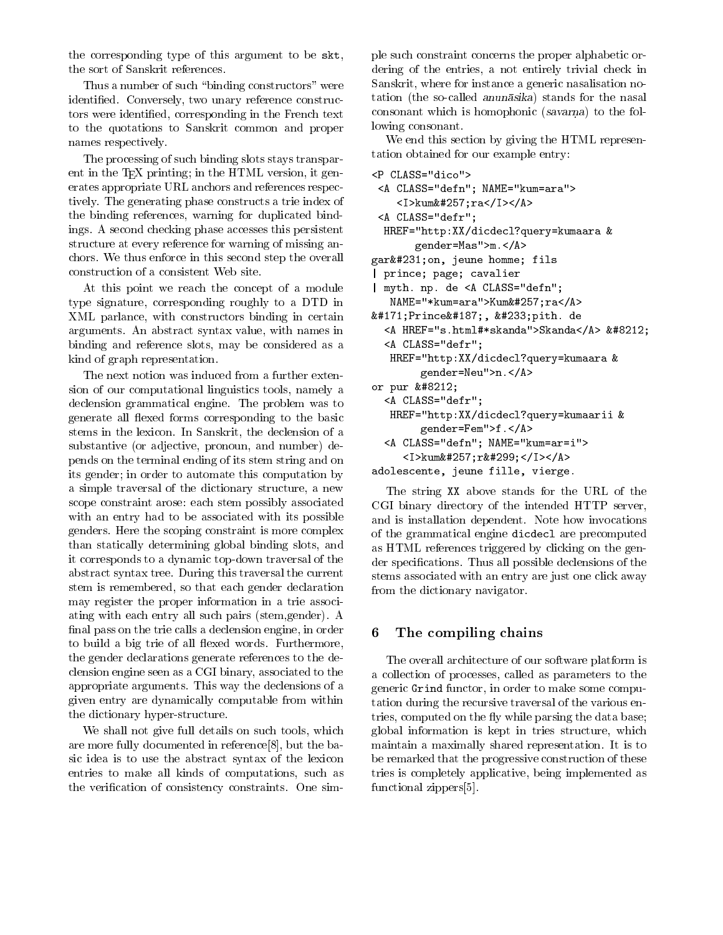the corresponding type of this argument to be skt, the sort of Sanskrit references.

Thus a number of such "binding constructors" were identied. Conversely, two unary reference constructors were identied, corresponding in the French text to the quotations to Sanskrit common and proper names respectively.

The processing of such binding slots stays transparent in the T<sub>E</sub>X printing; in the HTML version, it generates appropriate URL anchors and references respectively. The generating phase constructs a trie index of the binding references, warning for duplicated bindings. A second checking phase accesses this persistent structure at every reference for warning of missing anchors. We thus enforce in this second step the overall construction of a consistent Web site.

At this point we reach the concept of a module type signature, corresponding roughly to a DTD in XML parlance, with constructors binding in certain arguments. An abstract syntax value, with names in binding and reference slots, may be considered as a kind of graph representation.

The next notion was induced from a further extension of our computational linguistics tools, namely a declension grammatical engine. The problem was to generate all flexed forms corresponding to the basic stems in the lexicon. In Sanskrit, the declension of a substantive (or adjective, pronoun, and number) depends on the terminal ending of its stem string and on its gender; in order to automate this computation by a simple traversal of the dictionary structure, a new scope constraint arose: each stem possibly associated with an entry had to be associated with its possible genders. Here the scoping constraint is more complex than statically determining global binding slots, and it corresponds to a dynamic top-down traversal of the abstract syntax tree. During this traversal the current stem is remembered, so that each gender declaration may register the proper information in a trie associating with each entry all such pairs (stem,gender). A final pass on the trie calls a declension engine, in order to build a big trie of all flexed words. Furthermore, the gender declarations generate references to the declension engine seen as a CGI binary, associated to the appropriate arguments. This way the declensions of a given entry are dynamically computable from within the dictionary hyper-structure.

We shall not give full details on such tools, which are more fully documented in reference[8], but the basic idea is to use the abstract syntax of the lexicon entries to make all kinds of computations, such as the verification of consistency constraints. One simple such constraint concerns the proper alphabetic ordering of the entries, a not entirely trivial check in Sanskrit, where for instance a generic nasalisation notation (the so-called anunasika) stands for the nasal consonant which is homophonic (savarne  $\sim$ lowing consonant.

We end this section by giving the HTML representation obtained for our example entry:

```
<P CLASS="dico">
 <A CLASS="defn"; NAME="kum=ara">
    <I>kum&#257;ra</I></A>
 <A CLASS="defr";
 HREF="http:XX/dicdecl?query=kumaara &
       gender=Mas">m.</A>
garçon, jeune homme; fils
 prince; page; cavalier
| myth. np. de <A CLASS="defn";
  NAME="*kum=ara">Kumk#257; ra<AB>« Prince», é pith. de
  <A HREF="s.html#*skanda">Skanda</A> &#8212;
  <A CLASS="defr";
   HREF="http:XX/dicdecl?query=kumaara &
        gender=Neu">n.</A>
or pur &\#8212;<A CLASS="defr";
  HREF="http:XX/dicdecl?query=kumaarii &
        gender=Fem">f.</A>
  <A CLASS="defn"; NAME="kum=ar=i">
     <I>kum&#257;r&#299;</I></A>
adolescente, jeune fille, vierge.
```
The string XX above stands for the URL of the CGI binary directory of the intended HTTP server, and is installation dependent. Note how invocations of the grammatical engine dicdecl are precomputed as HTML references triggered by clicking on the gender specications. Thus all possible declensions of the stems associated with an entry are just one click away from the dictionary navigator.

#### 6The compiling chains

The overall architecture of our software platform is a collection of processes, called as parameters to the generic Grind functor, in order to make some computation during the recursive traversal of the various entries, computed on the fly while parsing the data base; global information is kept in tries structure, which maintain a maximally shared representation. It is to be remarked that the progressive construction of these tries is completely applicative, being implemented as functional zippers[5].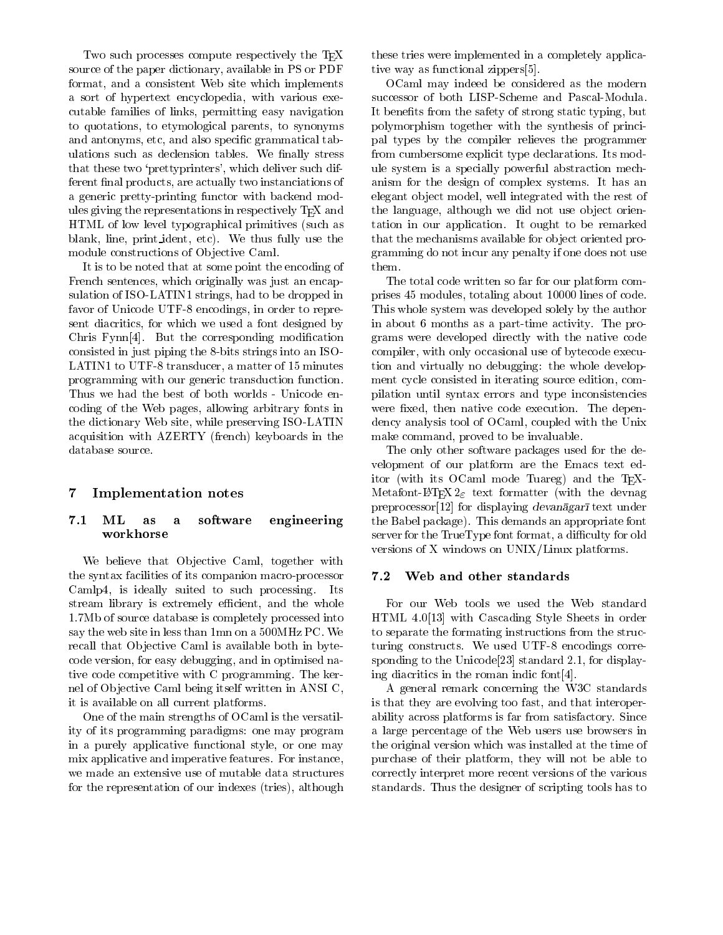Two such processes compute respectively the T<sub>F</sub>X source of the paper dictionary, available in PS or PDF format, and a consistent Web site which implements a sort of hypertext encyclopedia, with various executable families of links, permitting easy navigation to quotations, to etymological parents, to synonyms and antonyms, etc, and also specific grammatical tabulations such as declension tables. We finally stress that these two 'prettyprinters', which deliver such different final products, are actually two instanciations of a generic pretty-printing functor with backend modules giving the representations in respectively TEX and HTML of low level typographical primitives (such as blank, line, print ident, etc). We thus fully use the module constructions of Objective Caml.

It is to be noted that at some point the encoding of French sentences, which originally was just an encapsulation of ISO-LATIN1 strings, had to be dropped in favor of Unicode UTF-8 encodings, in order to represent diacritics, for which we used a font designed by Chris Fynn[4]. But the corresponding modification consisted in just piping the 8-bits strings into an ISO-LATIN1 to UTF-8 transducer, a matter of 15 minutes programming with our generic transduction function. Thus we had the best of both worlds - Unicode encoding of the Web pages, allowing arbitrary fonts in the dictionary Web site, while preserving ISO-LATIN acquisition with AZERTY (french) keyboards in the database source.

#### 7Implementation notes

## 7.1 ML as a software engineering workhorse

We believe that Objective Caml, together with the syntax facilities of its companion macro-processor 7.2 Camlp4, is ideally suited to such processing. Its stream library is extremely efficient, and the whole 1.7Mb of source database is completely processed into say the web site in less than 1mn on a 500MHz PC. We recall that Objective Caml is available both in bytecode version, for easy debugging, and in optimised native code competitive with C programming. The kernel of Objective Caml being itself written in ANSI C, it is available on all current platforms.

One of the main strengths of OCaml is the versatility of its programming paradigms: one may program in a purely applicative functional style, or one may mix applicative and imperative features. For instance, we made an extensive use of mutable data structures for the representation of our indexes (tries), although these tries were implemented in a completely applicative way as functional zippers[5].

OCaml may indeed be considered as the modern successor of both LISP-Scheme and Pascal-Modula. It benefits from the safety of strong static typing, but polymorphism together with the synthesis of principal types by the compiler relieves the programmer from cumbersome explicit type declarations. Its module system is a specially powerful abstraction mechanism for the design of complex systems. It has an elegant ob ject model, well integrated with the rest of the language, although we did not use object orientation in our application. It ought to be remarked that the mechanisms available for ob ject oriented programming do not incur any penalty if one does not use them.

The total code written so far for our platform comprises 45 modules, totaling about 10000 lines of code. This whole system was developed solely by the author in about 6 months as a part-time activity. The programs were developed directly with the native code compiler, with only occasional use of bytecode execution and virtually no debugging: the whole development cycle consisted in iterating source edition, compilation until syntax errors and type inconsistencies were fixed, then native code execution. The dependency analysis tool of OCaml, coupled with the Unix make command, proved to be invaluable.

The only other software packages used for the de velopment of our platform are the Emacs text editor (with its OCaml mode Tuareg) and the TFX-Metafont-LAT<sub>E</sub>X  $2\varepsilon$  text formatter (with the devnag preprocessor [12] for displaying devanagar $\bar{a}$  text under the Babel package). This demands an appropriate font server for the TrueType font format, a difficulty for old versions of X windows on UNIX/Linux platforms.

## Web and other standards

For our Web tools we used the Web standard HTML 4.0[13] with Cascading Style Sheets in order to separate the formating instructions from the structuring constructs. We used UTF-8 encodings corresponding to the Unicode[23] standard 2.1, for displaying diacritics in the roman indic font[4].

A general remark concerning the W3C standards is that they are evolving too fast, and that interoperability across platforms is far from satisfactory. Since a large percentage of the Web users use browsers in the original version which was installed at the time of purchase of their platform, they will not be able to correctly interpret more recent versions of the various standards. Thus the designer of scripting tools has to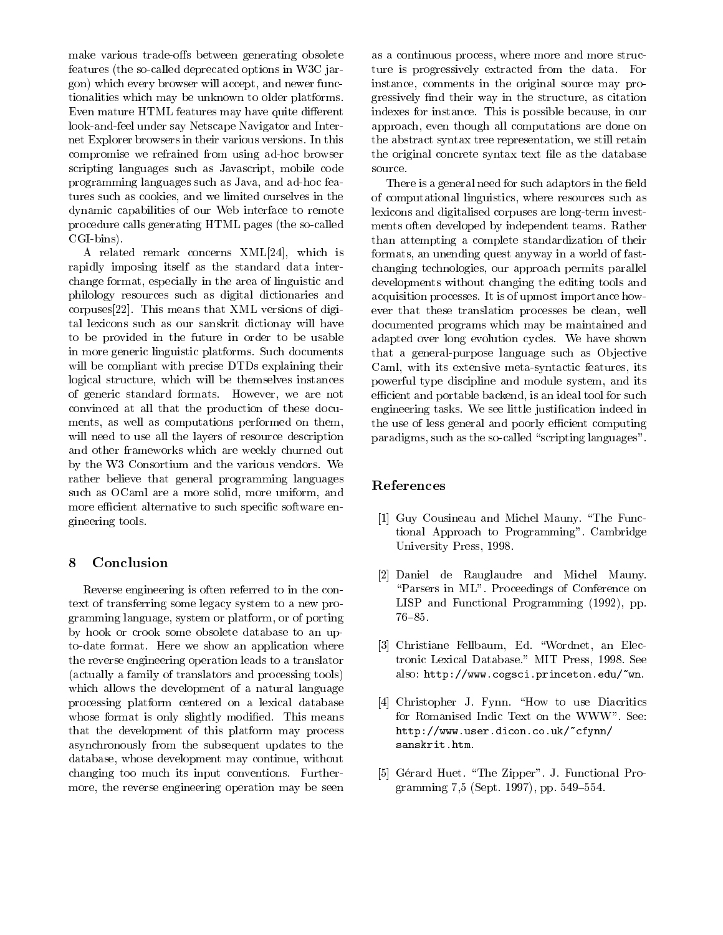make various trade-offs between generating obsolete features (the so-called deprecated options in W3C jargon) which every browser will accept, and newer functionalities which may be unknown to older platforms. Even mature HTML features may have quite different look-and-feel under say Netscape Navigator and Internet Explorer browsers in their various versions. In this compromise we refrained from using ad-hoc browser scripting languages such as Javascript, mobile code programming languages such as Java, and ad-hoc features such as cookies, and we limited ourselves in the dynamic capabilities of our Web interface to remote procedure calls generating HTML pages (the so-called CGI-bins).

A related remark concerns XML[24], which is rapidly imposing itself as the standard data interchange format, especially in the area of linguistic and philology resources such as digital dictionaries and corpuses[22]. This means that XML versions of digital lexicons such as our sanskrit dictionay will have to be provided in the future in order to be usable in more generic linguistic platforms. Such documents will be compliant with precise DTDs explaining their logical structure, which will be themselves instances of generic standard formats. However, we are not convinced at all that the production of these documents, as well as computations performed on them, will need to use all the layers of resource description and other frameworks which are weekly churned out by the W3 Consortium and the various vendors. We rather believe that general programming languages such as OCaml are a more solid, more uniform, and more efficient alternative to such specific software engineering tools.

#### 8Conclusion

Reverse engineering is often referred to in the context of transferring some legacy system to a new programming language, system or platform, or of porting by hook or crook some obsolete database to an upto-date format. Here we show an application where the reverse engineering operation leads to a translator (actually a family of translators and processing tools) which allows the development of a natural language processing platform centered on a lexical database whose format is only slightly modified. This means that the development of this platform may process asynchronously from the subsequent updates to the database, whose development may continue, without changing too much its input conventions. Furthermore, the reverse engineering operation may be seen

as a continuous process, where more and more structure is progressively extracted from the data. For instance, comments in the original source may progressively find their way in the structure, as citation indexes for instance. This is possible because, in our approach, even though all computations are done on the abstract syntax tree representation, we still retain the original concrete syntax text file as the database source.

There is a general need for such adaptors in the field of computational linguistics, where resources such as lexicons and digitalised corpuses are long-term investments often developed by independent teams. Rather than attempting a complete standardization of their formats, an unending quest anyway in a world of fastchanging technologies, our approach permits parallel developments without changing the editing tools and acquisition processes. It is of upmost importance how ever that these translation processes be clean, well documented programs which may be maintained and adapted over long evolution cycles. We have shown that a general-purpose language such as Objective Caml, with its extensive meta-syntactic features, its powerful type discipline and module system, and its efficient and portable backend, is an ideal tool for such engineering tasks. We see little justication indeed in the use of less general and poorly efficient computing paradigms, such as the so-called "scripting languages".

# References

- [1] Guy Cousineau and Michel Mauny. "The Functional Approach to Programming". Cambridge University Press, 1998.
- [2] Daniel de Rauglaudre and Michel Mauny. \Parsers in ML". Proceedings of Conference on LISP and Functional Programming (1992), pp.  $76 - 85.$
- [3] Christiane Fellbaum, Ed. \Wordnet, an Electronic Lexical Database." MIT Press, 1998. See also: http://www.cogsci.princeton.edu/~wn.
- [4] Christopher J. Fynn. "How to use Diacritics for Romanised Indic Text on the WWW". See: http://www.user.dicon.co.uk/~cfynn/ sanskrit.htm.
- [5] Gérard Huet. "The Zipper". J. Functional Programming 7,5 (Sept. 1997), pp.  $549-554$ .